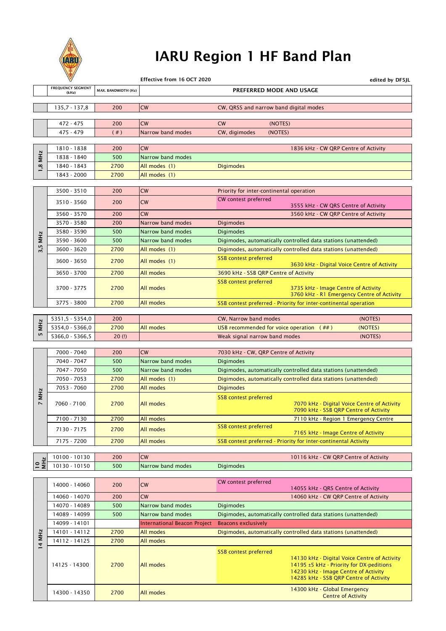

# IARU Region 1 HF Band Plan

|                 | $\forall$                         |                     | Effective from 16 OCT 2020   | edited by DF5JL                                                                                |
|-----------------|-----------------------------------|---------------------|------------------------------|------------------------------------------------------------------------------------------------|
|                 | <b>FREQUENCY SEGMENT</b><br>(kHz) | MAX. BANDWIDTH (Hz) |                              | PREFERRED MODE AND USAGE                                                                       |
|                 |                                   |                     |                              |                                                                                                |
|                 | $135,7 - 137,8$                   | 200                 | <b>CW</b>                    | CW, QRSS and narrow band digital modes                                                         |
|                 |                                   |                     |                              |                                                                                                |
|                 | 472 - 475                         | 200                 | CW                           | (NOTES)<br>CW                                                                                  |
|                 | 475 - 479                         | (  # )              | Narrow band modes            | CW, digimodes<br>(NOTES)                                                                       |
|                 | 1810 - 1838                       | 200                 | CW                           | 1836 kHz - CW QRP Centre of Activity                                                           |
| <b>MHz</b>      | 1838 - 1840                       | 500                 | Narrow band modes            |                                                                                                |
|                 | 1840 - 1843                       | 2700                | All modes (1)                | <b>Digimodes</b>                                                                               |
| 1,8             | 1843 - 2000                       | 2700                | All modes (1)                |                                                                                                |
|                 |                                   |                     |                              |                                                                                                |
|                 | 3500 - 3510                       | 200                 | <b>CW</b>                    | Priority for inter-continental operation                                                       |
|                 | 3510 - 3560                       | 200                 | CW                           | CW contest preferred                                                                           |
|                 |                                   |                     |                              | 3555 kHz - CW QRS Centre of Activity                                                           |
|                 | 3560 - 3570                       | 200                 | CW                           | 3560 kHz - CW QRP Centre of Activity                                                           |
|                 | 3570 - 3580                       | 200                 | Narrow band modes            | <b>Digimodes</b>                                                                               |
| <b>MHz</b>      | 3580 - 3590                       | 500                 | Narrow band modes            | <b>Digimodes</b>                                                                               |
| 3,5             | 3590 - 3600                       | 500                 | Narrow band modes            | Digimodes, automatically controlled data stations (unattended)                                 |
|                 | 3600 - 3620                       | 2700                | All modes (1)                | Digimodes, automatically controlled data stations (unattended)<br><b>SSB</b> contest preferred |
|                 | 3600 - 3650                       | 2700                | All modes (1)                | 3630 kHz - Digital Voice Centre of Activity                                                    |
|                 | 3650 - 3700                       | 2700                | All modes                    | 3690 kHz - SSB QRP Centre of Activity                                                          |
|                 |                                   |                     |                              | <b>SSB</b> contest preferred                                                                   |
|                 | 3700 - 3775                       | 2700                | All modes                    | 3735 kHz - Image Centre of Activity<br>3760 kHz - R1 Emergency Centre of Activity              |
|                 | 3775 - 3800                       | 2700                | All modes                    | SSB contest preferred - Priority for inter-continental operation                               |
|                 |                                   |                     |                              |                                                                                                |
|                 | 5351,5 - 5354,0                   | 200                 |                              | CW, Narrow band modes<br>(NOTES)                                                               |
| <b>MHz</b>      | 5354,0 - 5366,0                   | 2700                | All modes                    | USB recommended for voice operation $($ ##)<br>(NOTES)                                         |
| S               | 5366,0 - 5366,5                   | $20$ (!)            |                              | Weak signal narrow band modes<br>(NOTES)                                                       |
|                 | 7000 - 7040                       |                     | CW                           |                                                                                                |
|                 | 7040 - 7047                       | 200<br>500          | Narrow band modes            | 7030 kHz - CW, QRP Centre of Activity<br><b>Digimodes</b>                                      |
|                 | 7047 - 7050                       | 500                 | Narrow band modes            | Digimodes, automatically controlled data stations (unattended)                                 |
|                 | 7050 - 7053                       | 2700                | All modes (1)                | Digimodes, automatically controlled data stations (unattended)                                 |
|                 | 7053 - 7060                       | 2700                | All modes                    | <b>Digimodes</b>                                                                               |
| 7 MHz           |                                   |                     |                              | <b>SSB</b> contest preferred                                                                   |
|                 | 7060 - 7100                       | 2700                | All modes                    | 7070 kHz - Digital Voice Centre of Activity                                                    |
|                 |                                   |                     |                              | 7090 kHz - SSB QRP Centre of Activity                                                          |
|                 | 7100 - 7130                       | 2700                | All modes                    | 7110 kHz - Region 1 Emergency Centre                                                           |
|                 | 7130 - 7175                       | 2700                | All modes                    | <b>SSB</b> contest preferred<br>7165 kHz - Image Centre of Activity                            |
|                 | 7175 - 7200                       | 2700                | All modes                    | SSB contest preferred - Priority for inter-continental Activity                                |
|                 |                                   |                     |                              |                                                                                                |
|                 | 10100 - 10130                     | 200                 | CW                           | 10116 kHz - CW QRP Centre of Activity                                                          |
| $\supseteq \Xi$ | 10130 - 10150                     | 500                 | Narrow band modes            | <b>Digimodes</b>                                                                               |
|                 |                                   |                     |                              |                                                                                                |
|                 | 14000 - 14060                     | 200                 | CW                           | CW contest preferred<br>14055 kHz - QRS Centre of Activity                                     |
|                 | 14060 - 14070                     | 200                 | CW                           | 14060 kHz - CW QRP Centre of Activity                                                          |
|                 | 14070 - 14089                     | 500                 | Narrow band modes            | <b>Digimodes</b>                                                                               |
|                 | 14089 - 14099                     | 500                 | Narrow band modes            | Digimodes, automatically controlled data stations (unattended)                                 |
|                 | 14099 - 14101                     |                     | International Beacon Project | <b>Beacons exclusively</b>                                                                     |
| 14 MHz          | 14101 - 14112                     | 2700                | All modes                    | Digimodes, automatically controlled data stations (unattended)                                 |
|                 | 14112 - 14125                     | 2700                | All modes                    |                                                                                                |
|                 |                                   |                     |                              | <b>SSB</b> contest preferred                                                                   |
|                 |                                   |                     |                              | 14130 kHz - Digital Voice Centre of Activity                                                   |
|                 | 14125 - 14300                     | 2700                | All modes                    | 14195 ±5 kHz - Priority for DX-peditions<br>14230 kHz - Image Centre of Activity               |
|                 |                                   |                     |                              | 14285 kHz - SSB QRP Centre of Activity                                                         |
|                 |                                   |                     |                              | 14300 kHz - Global Emergency                                                                   |
|                 | 14300 - 14350                     | 2700                | All modes                    | <b>Centre of Activity</b>                                                                      |
|                 |                                   |                     |                              |                                                                                                |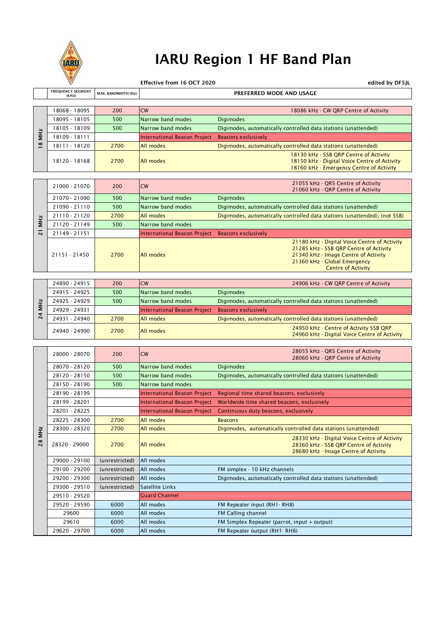

# IARU Region 1 HF Band Plan

Effective from 16 OCT 2020<br>**Effective from 16 OCT 2020** 

|                        | <b>FREQUENCY SEGMENT</b><br>(kHz) | MAX. BANDWIDTH (Hz) | PREFERRED MODE AND USAGE            |                                                                                                                                    |  |
|------------------------|-----------------------------------|---------------------|-------------------------------------|------------------------------------------------------------------------------------------------------------------------------------|--|
|                        |                                   |                     |                                     |                                                                                                                                    |  |
| <b>MHz</b><br>$\infty$ | 18068 - 18095                     | 200                 | <b>CW</b>                           | 18086 kHz - CW QRP Centre of Activity                                                                                              |  |
|                        | 18095 - 18105                     | 500                 | Narrow band modes                   | <b>Digimodes</b>                                                                                                                   |  |
|                        | 18105 - 18109                     | 500                 | Narrow band modes                   | Digimodes, automatically controlled data stations (unattended)                                                                     |  |
|                        | 18109 - 18111                     |                     | <b>International Beacon Project</b> | <b>Beacons exclusively</b>                                                                                                         |  |
|                        | 18111 - 18120                     | 2700                | All modes                           | Digimodes, automatically controlled data stations (unattended)                                                                     |  |
|                        | 18120 - 18168                     | 2700                | All modes                           | 18130 kHz - SSB QRP Centre of Activity<br>18150 kHz - Digital Voice Centre of Activity<br>18160 kHz - Emergency Centre of Activity |  |
|                        |                                   |                     |                                     |                                                                                                                                    |  |
|                        | 21000 - 21070                     | 200                 | <b>CW</b>                           | 21055 kHz - QRS Centre of Activity<br>21060 kHz - QRP Centre of Activity                                                           |  |
|                        | 21070 - 21090                     | 500                 | Narrow band modes                   | <b>Digimodes</b>                                                                                                                   |  |
|                        | 21090 - 21110                     | 500                 | Narrow band modes                   | Digimodes, automatically controlled data stations (unattended)                                                                     |  |
|                        |                                   |                     |                                     |                                                                                                                                    |  |

| N           | 21110 - 21120 | 2700 | <b>All modes</b>                                 | Digimodes, automatically controlled data stations (unattended), (not SSB)                                                                                                                   |
|-------------|---------------|------|--------------------------------------------------|---------------------------------------------------------------------------------------------------------------------------------------------------------------------------------------------|
|             | 21120 - 21149 | 500  | Narrow band modes                                |                                                                                                                                                                                             |
| -<br>$\sim$ | 21149 - 21151 |      | International Beacon Project Beacons exclusively |                                                                                                                                                                                             |
|             | 21151 - 21450 | 2700 | All modes                                        | 21180 kHz - Digital Voice Centre of Activity<br>21285 kHz - SSB QRP Centre of Activity<br>21340 kHz - Image Centre of Activity<br>21360 kHz - Global Emergency<br><b>Centre of Activity</b> |

| $\overline{\mathbf{N}}$<br>$\overline{N}$ | 24890 - 24915 | 200  | <b>CW</b>                                        | 24906 kHz - CW QRP Centre of Activity                                                  |
|-------------------------------------------|---------------|------|--------------------------------------------------|----------------------------------------------------------------------------------------|
|                                           | 24915 - 24925 | 500  | Narrow band modes                                | <b>Digimodes</b>                                                                       |
|                                           | 24925 - 24929 | 500  | Narrow band modes                                | Digimodes, automatically controlled data stations (unattended)                         |
|                                           | 24929 - 24931 |      | International Beacon Project Beacons exclusively |                                                                                        |
|                                           | 24931 - 24940 | 2700 | All modes                                        | Digimodes, automatically controlled data stations (unattended)                         |
|                                           | 24940 - 24990 | 2700 | All modes                                        | 24950 kHz - Centre of Activity SSB QRP<br>24960 kHz - Digital Voice Centre of Activity |

| <b>MHz</b><br>$\overline{18}$ |               |                |                                                  | <u>Digitioucs, automatically controlled data stations (unattended)</u>                                                                                                                      |
|-------------------------------|---------------|----------------|--------------------------------------------------|---------------------------------------------------------------------------------------------------------------------------------------------------------------------------------------------|
|                               | 18109 - 18111 |                | International Beacon Project Beacons exclusively |                                                                                                                                                                                             |
|                               | 18111 - 18120 | 2700           | All modes                                        | Digimodes, automatically controlled data stations (unattended)                                                                                                                              |
|                               | 18120 - 18168 | 2700           | All modes                                        | 18130 kHz - SSB QRP Centre of Activity<br>18150 kHz - Digital Voice Centre of Activity<br>18160 kHz - Emergency Centre of Activity                                                          |
|                               |               |                |                                                  |                                                                                                                                                                                             |
|                               | 21000 - 21070 | 200            | CW                                               | 21055 kHz - QRS Centre of Activity<br>21060 kHz - QRP Centre of Activity                                                                                                                    |
|                               | 21070 - 21090 | 500            | Narrow band modes                                | <b>Digimodes</b>                                                                                                                                                                            |
|                               | 21090 - 21110 | 500            | Narrow band modes                                | Digimodes, automatically controlled data stations (unattended)                                                                                                                              |
|                               | 21110 - 21120 | 2700           | All modes                                        | Digimodes, automatically controlled data stations (unattended), (not SSB)                                                                                                                   |
| <b>MHz</b>                    | 21120 - 21149 | 500            | Narrow band modes                                |                                                                                                                                                                                             |
| $\overline{2}$                | 21149 - 21151 |                | <b>International Beacon Project</b>              | <b>Beacons exclusively</b>                                                                                                                                                                  |
|                               | 21151 - 21450 | 2700           | All modes                                        | 21180 kHz - Digital Voice Centre of Activity<br>21285 kHz - SSB QRP Centre of Activity<br>21340 kHz - Image Centre of Activity<br>21360 kHz - Global Emergency<br><b>Centre of Activity</b> |
|                               |               |                |                                                  |                                                                                                                                                                                             |
|                               | 24890 - 24915 | 200            | CW                                               | 24906 kHz - CW QRP Centre of Activity                                                                                                                                                       |
|                               | 24915 - 24925 | 500            | Narrow band modes                                | <b>Digimodes</b>                                                                                                                                                                            |
|                               | 24925 - 24929 | 500            | Narrow band modes                                | Digimodes, automatically controlled data stations (unattended)                                                                                                                              |
| 24 MHz                        | 24929 - 24931 |                | <b>International Beacon Project</b>              | <b>Beacons exclusively</b>                                                                                                                                                                  |
|                               | 24931 - 24940 | 2700           | All modes                                        | Digimodes, automatically controlled data stations (unattended)                                                                                                                              |
|                               | 24940 - 24990 | 2700           | All modes                                        | 24950 kHz - Centre of Activity SSB QRP<br>24960 kHz - Digital Voice Centre of Activity                                                                                                      |
|                               |               |                |                                                  |                                                                                                                                                                                             |
|                               | 28000 - 28070 | 200            | <b>CW</b>                                        | 28055 kHz - QRS Centre of Activity<br>28060 kHz - QRP Centre of Activity                                                                                                                    |
|                               | 28070 - 28120 | 500            | Narrow band modes                                | <b>Digimodes</b>                                                                                                                                                                            |
|                               | 28120 - 28150 | 500            | Narrow band modes                                | Digimodes, automatically controlled data stations (unattended)                                                                                                                              |
|                               | 28150 - 28190 | 500            | Narrow band modes                                |                                                                                                                                                                                             |
|                               | 28190 - 28199 |                | <b>International Beacon Project</b>              | Regional time shared beacons, exclusively                                                                                                                                                   |
|                               | 28199 - 28201 |                | <b>International Beacon Project</b>              | Worldwide time shared beacons, exclusively                                                                                                                                                  |
|                               | 28201 - 28225 |                | <b>International Beacon Project</b>              | Continuous duty beacons, exclusively                                                                                                                                                        |
|                               | 28225 - 28300 | 2700           | All modes                                        | <b>Beacons</b>                                                                                                                                                                              |
|                               | 28300 - 28320 | 2700           | All modes                                        | Digimodes, automatically controlled data stations (unattended)                                                                                                                              |
| MHz<br>28                     | 28320 - 29000 | 2700           | All modes                                        | 28330 kHz - Digital Voice Centre of Activity<br>28360 kHz - SSB QRP Centre of Activity<br>28680 kHz - Image Centre of Activity                                                              |
|                               | 29000 - 29100 | (unrestricted) | All modes                                        |                                                                                                                                                                                             |
|                               | 29100 - 29200 | (unrestricted) | All modes                                        | FM simplex - 10 kHz channels                                                                                                                                                                |
|                               | 29200 - 29300 | (unrestricted) | All modes                                        | Digimodes, automatically controlled data stations (unattended)                                                                                                                              |
|                               | 29300 - 29510 | (unrestricted) | <b>Satellite Links</b>                           |                                                                                                                                                                                             |
|                               | 29510 - 29520 |                | <b>Guard Channel</b>                             |                                                                                                                                                                                             |
|                               | 29520 - 29590 | 6000           | All modes                                        | FM Repeater input (RH1-RH8)                                                                                                                                                                 |
|                               | 29600         | 6000           | All modes                                        | FM Calling channel                                                                                                                                                                          |
|                               | 29610         | 6000           | All modes                                        | FM Simplex Repeater (parrot, input + output)                                                                                                                                                |
|                               | 29620 - 29700 | 6000           | All modes                                        | FM Repeater output (RH1-RH8)                                                                                                                                                                |
|                               |               |                |                                                  |                                                                                                                                                                                             |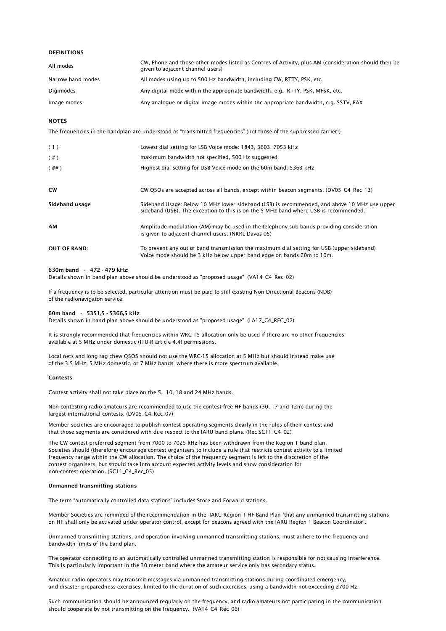# DEFINITIONS

| All modes         | CW, Phone and those other modes listed as Centres of Activity, plus AM (consideration should then be<br>given to adjacent channel users) |
|-------------------|------------------------------------------------------------------------------------------------------------------------------------------|
| Narrow band modes | All modes using up to 500 Hz bandwidth, including CW, RTTY, PSK, etc.                                                                    |
| Digimodes         | Any digital mode within the appropriate bandwidth, e.g. RTTY, PSK, MFSK, etc.                                                            |
| Image modes       | Any analogue or digital image modes within the appropriate bandwidth, e.g. SSTV, FAX                                                     |

### **NOTES**

The frequencies in the bandplan are understood as "transmitted frequencies" (not those of the suppressed carrier!)

| (1)                 | Lowest dial setting for LSB Voice mode: 1843, 3603, 7053 kHz                                                                                                                         |
|---------------------|--------------------------------------------------------------------------------------------------------------------------------------------------------------------------------------|
| (  # )              | maximum bandwidth not specified, 500 Hz suggested                                                                                                                                    |
| $(+  # )$           | Highest dial setting for USB Voice mode on the 60m band: 5363 kHz                                                                                                                    |
|                     |                                                                                                                                                                                      |
| <b>CW</b>           | CW QSOs are accepted across all bands, except within beacon segments. (DV05_C4_Rec_13)                                                                                               |
| Sideband usage      | Sideband Usage: Below 10 MHz lower sideband (LSB) is recommended, and above 10 MHz use upper<br>sideband (USB). The exception to this is on the 5 MHz band where USB is recommended. |
| AМ                  | Amplitude modulation (AM) may be used in the telephony sub-bands providing consideration<br>is given to adjacent channel users. (NRRL Davos 05)                                      |
| <b>OUT OF BAND:</b> | To prevent any out of band transmission the maximum dial setting for USB (upper sideband)<br>Voice mode should be 3 kHz below upper band edge on bands 20m to 10m.                   |

#### 630m band - 472 - 479 kHz:

*Details shown in band plan above should be understood as "proposed usage" (VA14\_C4\_Rec\_02)*

*If a frequency is to be selected, particular attention must be paid to still existing Non Directional Beacons (NDB) of the radionavigaton service!*

# 60m band - 5351,5 - 5366,5 kHz

*Details shown in band plan above should be understood as "proposed usage" (LA17\_C4\_REC\_02)*

*available at 5 MHz under domestic (ITU-R article 4.4) permissions. It is strongly recommended that frequencies within WRC-15 allocation only be used if there are no other frequencies*

*Local nets and long rag chew QSOS should not use the WRC-15 allocation at 5 MHz but should instead make use of the 3.5 MHz, 5 MHz domestic, or 7 MHz bands where there is more spectrum available.*

#### Contests

*Contest activity shall not take place on the 5, 10, 18 and 24 MHz bands.*

*Non-contesting radio amateurs are recommended to use the contest-free HF bands (30, 17 and 12m) during the largest international contests. (DV05\_C4\_Rec\_07)*

*that those segments are considered with due respect to the IARU band plans. (Rec SC11\_C4\_02) Member societies are encouraged to publish contest operating segments clearly in the rules of their contest and*

*The CW contest-preferred segment from 7000 to 7025 kHz has been withdrawn from the Region 1 band plan. Societies should (therefore) encourage contest organisers to include a rule that restricts contest activity to a limited frequency range within the CW allocation. The choice of the frequency segment is left to the disccretion of the contest organisers, but should take into account expected activity levels and show consideration for non-contest operation. (SC11\_C4\_Rec\_05)*

#### Unmanned transmitting stations

The term "automatically controlled data stations" includes Store and Forward stations.

on HF shall only be activated under operator control, except for beacons agreed with the IARU Region 1 Beacon Coordinator'. Member Societies are reminded of the recommendation in the IARU Region 1 HF Band Plan 'that any unmanned transmitting stations

*Unmanned transmitting stations, and operation involving unmanned transmitting stations, must adhere to the frequency and bandwidth limits of the band plan.*

*This is particularly important in the 30 meter band where the amateur service only has secondary status. The operator connecting to an automatically controlled unmanned transmitting station is responsible for not causing interference.*

*Amateur radio operators may transmit messages via unmanned transmitting stations during coordinated emergency, and disaster preparedness exercises, limited to the duration of such exercises, using a bandwidth not exceeding 2700 Hz.*

*Such communication should be announced regularly on the frequency, and radio amateurs not participating in the communication should cooperate by not transmitting on the frequency. (VA14\_C4\_Rec\_06)*